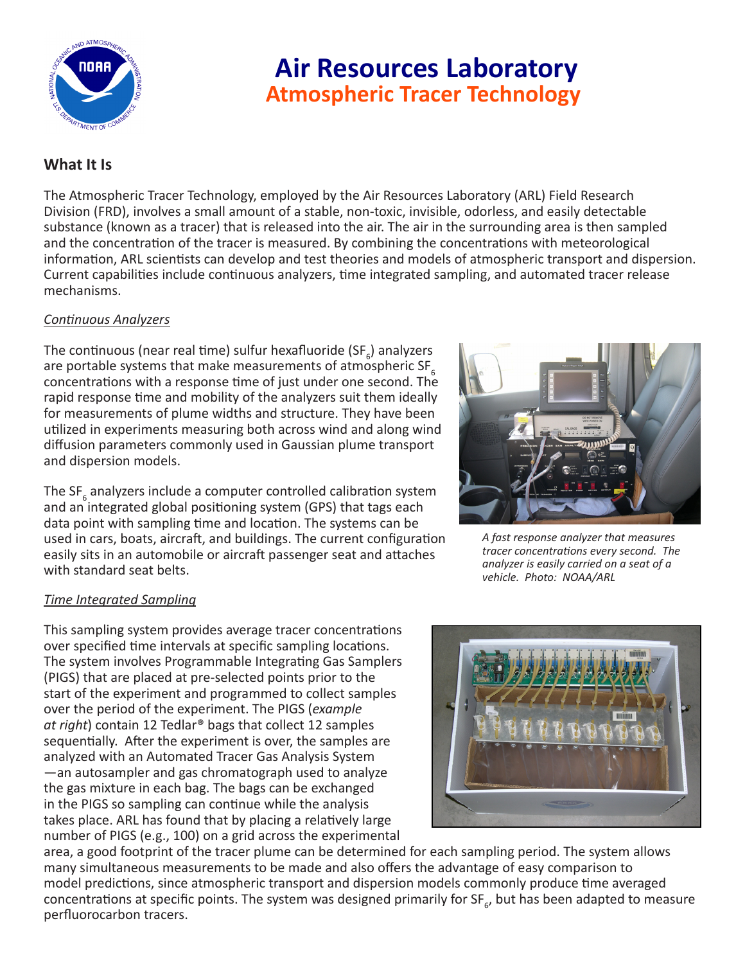

# **Air Resources Laboratory Atmospheric Tracer Technology**

## **What It Is**

The Atmospheric Tracer Technology, employed by the Air Resources Laboratory (ARL) Field Research Division (FRD), involves a small amount of a stable, non-toxic, invisible, odorless, and easily detectable substance (known as a tracer) that is released into the air. The air in the surrounding area is then sampled and the concentration of the tracer is measured. By combining the concentrations with meteorological information, ARL scientists can develop and test theories and models of atmospheric transport and dispersion. Current capabilities include continuous analyzers, time integrated sampling, and automated tracer release mechanisms.

## *Continuous Analyzers*

The continuous (near real time) sulfur hexafluoride (SF<sub>6</sub>) analyzers are portable systems that make measurements of atmospheric  $SF_{6}$ concentrations with a response time of just under one second. The rapid response time and mobility of the analyzers suit them ideally for measurements of plume widths and structure. They have been utilized in experiments measuring both across wind and along wind diffusion parameters commonly used in Gaussian plume transport and dispersion models.

The SF<sub>6</sub> analyzers include a computer controlled calibration system and an integrated global positioning system (GPS) that tags each data point with sampling time and location. The systems can be used in cars, boats, aircraft, and buildings. The current configuration easily sits in an automobile or aircraft passenger seat and attaches with standard seat belts.

## *Time Integrated Sampling*

This sampling system provides average tracer concentrations over specified time intervals at specific sampling locations. The system involves Programmable Integrating Gas Samplers (PIGS) that are placed at pre-selected points prior to the start of the experiment and programmed to collect samples over the period of the experiment. The PIGS (*example at right*) contain 12 Tedlar® bags that collect 12 samples sequentially. After the experiment is over, the samples are analyzed with an Automated Tracer Gas Analysis System —an autosampler and gas chromatograph used to analyze the gas mixture in each bag. The bags can be exchanged in the PIGS so sampling can continue while the analysis takes place. ARL has found that by placing a relatively large number of PIGS (e.g., 100) on a grid across the experimental



*A fast response analyzer that measures tracer concentrations every second. The analyzer is easily carried on a seat of a vehicle. Photo: NOAA/ARL*



area, a good footprint of the tracer plume can be determined for each sampling period. The system allows many simultaneous measurements to be made and also offers the advantage of easy comparison to model predictions, since atmospheric transport and dispersion models commonly produce time averaged concentrations at specific points. The system was designed primarily for SF<sub>6</sub>, but has been adapted to measure perfluorocarbon tracers.